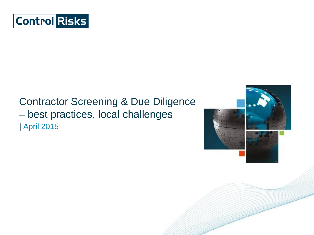

### | April 2015 Contractor Screening & Due Diligence – best practices, local challenges

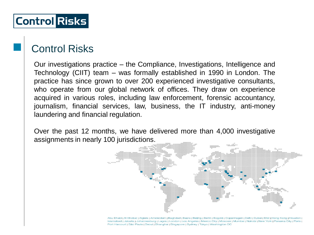### Control Risks

Our investigations practice – the Compliance, Investigations, Intelligence and Technology (CIIT) team – was formally established in 1990 in London. The practice has since grown to over 200 experienced investigative consultants, who operate from our global network of offices. They draw on experience acquired in various roles, including law enforcement, forensic accountancy, journalism, financial services, law, business, the IT industry, anti-money laundering and financial regulation.

Over the past 12 months, we have delivered more than 4,000 investigative assignments in nearly 100 jurisdictions.



Abu Dhabi | Al Khobar | Algiers | Amsterdam | Baghdad | Basra | Beijing | Berlin | Bogotá | Copenhagen | Delhi | Dubai | Erbil | Hong Kong | Houston | Islamabad | Jakarta | Johannesburg | Lagos | London | Los Angeles | Mexico City | Moscow | Mumbai | Nairobi | New York | Panama City | Paris | Port Harcourt | São Paulo | Seoul | Shanghai | Singapore | Sydney | Tokyo | Washington DC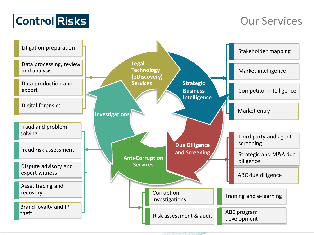

### Our Services

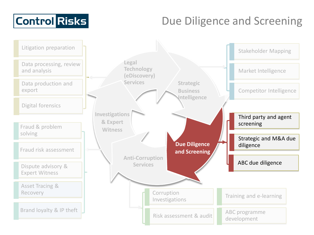# Due Diligence and Screening

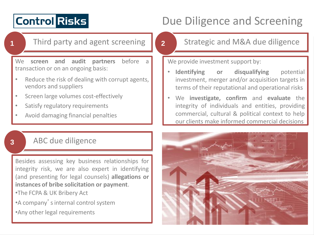# Due Diligence and Screening

**1** Third party and agent screening

We **screen and audit partners** before a transaction or on an ongoing basis:

- Reduce the risk of dealing with corrupt agents, vendors and suppliers
- Screen large volumes cost-effectively
- Satisfy regulatory requirements
- Avoid damaging financial penalties

### **3** ABC due diligence

Besides assessing key business relationships for integrity risk, we are also expert in identifying (and presenting for legal counsels) **allegations or instances of bribe solicitation or payment**.

- •The FCPA & UK Bribery Act
- •A company'sinternal control system
- •Any other legal requirements

#### **2** Strategic and M&A due diligence

We provide investment support by:

- **Identifying or disqualifying** potential investment, merger and/or acquisition targets in terms of their reputational and operational risks
- We **investigate, confirm** and **evaluate** the integrity of individuals and entities, providing commercial, cultural & political context to help our clients make informed commercial decisions

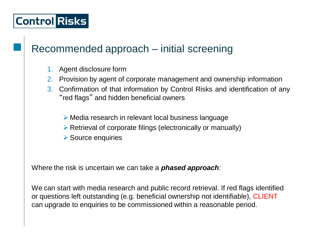### Recommended approach – initial screening

- 1. Agent disclosure form
- 2. Provision by agent of corporate management and ownership information
- 3. Confirmation of that information by Control Risks and identification of any "red flags" and hidden beneficial owners
	- Media research in relevant local business language
	- $\triangleright$  Retrieval of corporate filings (electronically or manually)
	- **▶ Source enquiries**

Where the risk is uncertain we can take a *phased approach:*

We can start with media research and public record retrieval. If red flags identified or questions left outstanding (e.g. beneficial ownership not identifiable), CLIENT can upgrade to enquiries to be commissioned within a reasonable period.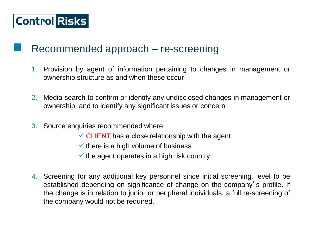### Recommended approach – re-screening

- 1. Provision by agent of information pertaining to changes in management or ownership structure as and when these occur
- 2. Media search to confirm or identify any undisclosed changes in management or ownership, and to identify any significant issues or concern
- 3. Source enquiries recommended where:
	- $\checkmark$  CLIENT has a close relationship with the agent
	- $\checkmark$  there is a high volume of business
	- $\checkmark$  the agent operates in a high risk country
- 4. Screening for any additional key personnel since initial screening, level to be established depending on significance of change on the company's profile. If the change is in relation to junior or peripheral individuals, a full re-screening of the company would not be required.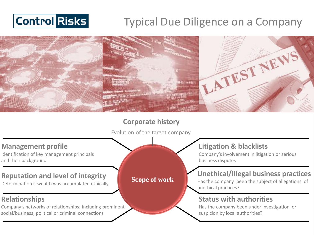# Typical Due Diligence on a Company



#### **Corporate history**

Evolution of the target company

#### **Management profile**

Identification of key management principals and their background

#### **Reputation and level of integrity**

Determination if wealth was accumulated ethically

#### **Relationships**

Company's networks of relationships; including prominent social/business, political or criminal connections

#### **Litigation & blacklists**

Company's involvement in litigation or serious business disputes

### **Unethical/Illegal business practices**

Has the company been the subject of allegations of unethical practices?

#### **Status with authorities**

Has the company been under investigation or suspicion by local authorities?

#### **Scope of work**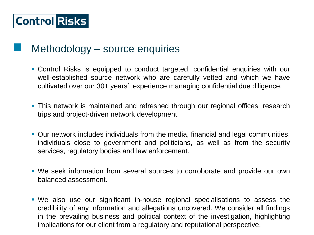### Methodology – source enquiries

- Control Risks is equipped to conduct targeted, confidential enquiries with our well-established source network who are carefully vetted and which we have cultivated over our 30+ years' experience managing confidential due diligence.
- **This network is maintained and refreshed through our regional offices, research** trips and project-driven network development.
- Our network includes individuals from the media, financial and legal communities, individuals close to government and politicians, as well as from the security services, regulatory bodies and law enforcement.
- We seek information from several sources to corroborate and provide our own balanced assessment.
- We also use our significant in-house regional specialisations to assess the credibility of any information and allegations uncovered. We consider all findings in the prevailing business and political context of the investigation, highlighting implications for our client from a regulatory and reputational perspective.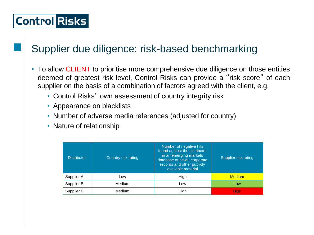### Supplier due diligence: risk-based benchmarking

- To allow CLIENT to prioritise more comprehensive due diligence on those entities deemed of greatest risk level, Control Risks can provide a "risk score" of each supplier on the basis of a combination of factors agreed with the client, e.g.
	- Control Risks' own assessment of country integrity risk
	- Appearance on blacklists
	- Number of adverse media references (adjusted for country)
	- Nature of relationship

| <b>Distributor</b> | Country risk rating | Number of negative hits<br>found against the distributor<br>in an emerging markets<br>database of news, corporate<br>records and other publicly<br>available material | Supplier risk rating |
|--------------------|---------------------|-----------------------------------------------------------------------------------------------------------------------------------------------------------------------|----------------------|
| Supplier A         | Low                 | High                                                                                                                                                                  | <b>Medium</b>        |
| Supplier B         | Medium              | Low                                                                                                                                                                   | Low                  |
| Supplier C         | Medium              | High                                                                                                                                                                  | <b>High</b>          |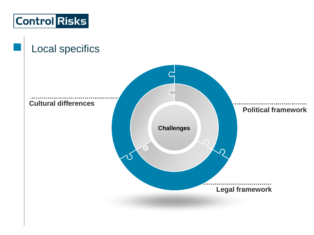

### Local specifics